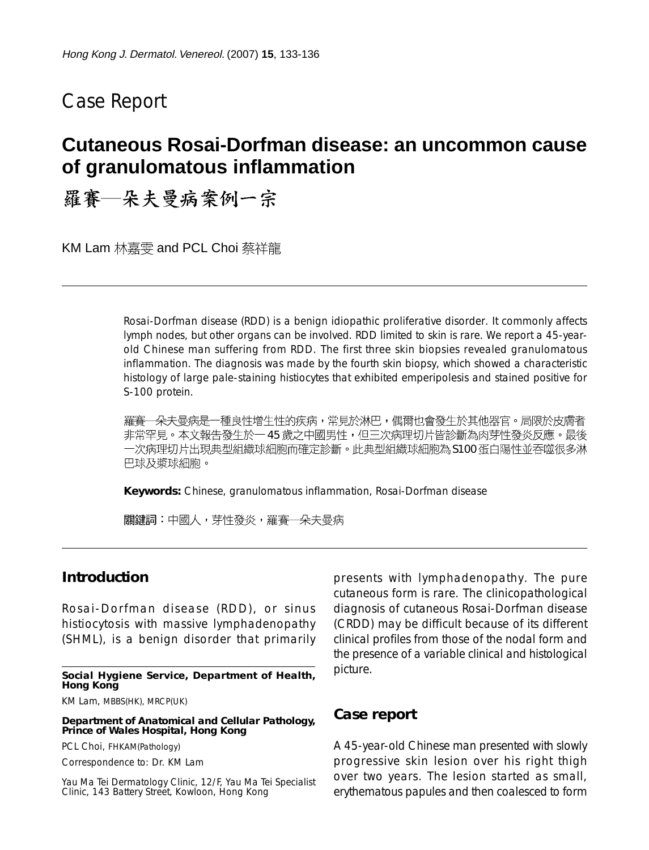Case Report

# **Cutaneous Rosai-Dorfman disease: an uncommon cause of granulomatous inflammation**

羅賽—朵夫曼病案例一宗

KM Lam 林嘉雯 and PCL Choi 蔡祥龍

Rosai-Dorfman disease (RDD) is a benign idiopathic proliferative disorder. It commonly affects lymph nodes, but other organs can be involved. RDD limited to skin is rare. We report a 45-yearold Chinese man suffering from RDD. The first three skin biopsies revealed granulomatous inflammation. The diagnosis was made by the fourth skin biopsy, which showed a characteristic histology of large pale-staining histiocytes that exhibited emperipolesis and stained positive for S-100 protein.

羅賽一朵夫曼病是一種良性增生性的疾病,常見於淋巴,偶爾也會發生於其他器官。局限於皮膚者 非常罕見。本文報告發生於一 45 歲之中國男性,但三次病理切片皆診斷為肉芽性發炎反應。最後 一次病理切片出現典型組織球細胞而確定診斷。此典型組織球細胞為S100蛋白陽性並吞噬很多淋 巴球及漿球細胞。

**Keywords:** Chinese, granulomatous inflammation, Rosai-Dorfman disease

關鍵詞:中國人,芽性發炎,羅賽一朵夫曼病

### **Introduction**

Rosai-Dorfman disease (RDD), or sinus histiocytosis with massive lymphadenopathy (SHML), is a benign disorder that primarily

**Social Hygiene Service, Department of Health, Hong Kong**

KM Lam, MBBS(HK), MRCP(UK)

**Department of Anatomical and Cellular Pathology, Prince of Wales Hospital, Hong Kong**

PCL Choi, FHKAM(Pathology)

Correspondence to: Dr. KM Lam

Yau Ma Tei Dermatology Clinic, 12/F, Yau Ma Tei Specialist Clinic, 143 Battery Street, Kowloon, Hong Kong

presents with lymphadenopathy. The pure cutaneous form is rare. The clinicopathological diagnosis of cutaneous Rosai-Dorfman disease (CRDD) may be difficult because of its different clinical profiles from those of the nodal form and the presence of a variable clinical and histological picture.

#### **Case report**

A 45-year-old Chinese man presented with slowly progressive skin lesion over his right thigh over two years. The lesion started as small, erythematous papules and then coalesced to form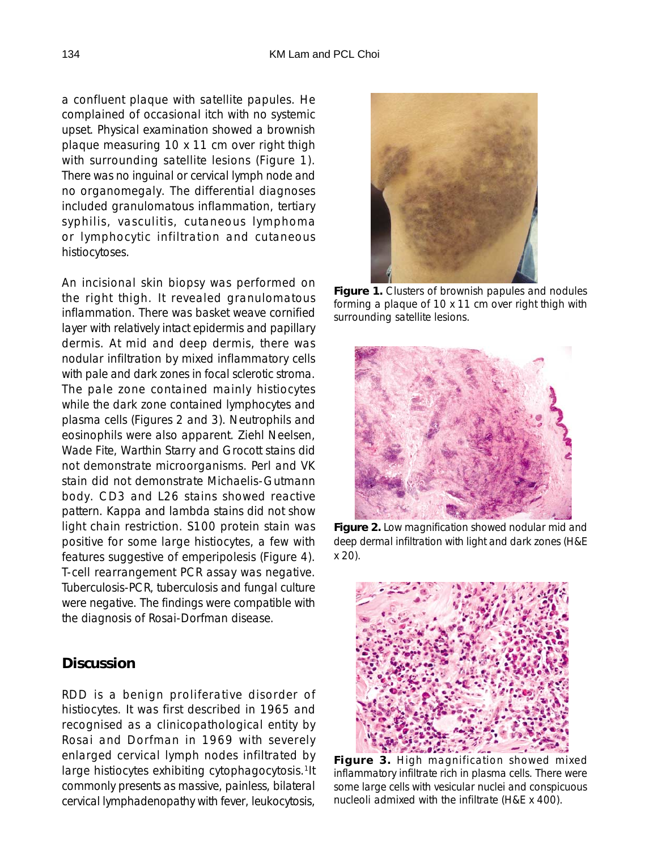a confluent plaque with satellite papules. He complained of occasional itch with no systemic upset. Physical examination showed a brownish plaque measuring 10 x 11 cm over right thigh with surrounding satellite lesions (Figure 1). There was no inguinal or cervical lymph node and no organomegaly. The differential diagnoses included granulomatous inflammation, tertiary syphilis, vasculitis, cutaneous lymphoma or lymphocytic infiltration and cutaneous histiocytoses.

An incisional skin biopsy was performed on the right thigh. It revealed granulomatous inflammation. There was basket weave cornified layer with relatively intact epidermis and papillary dermis. At mid and deep dermis, there was nodular infiltration by mixed inflammatory cells with pale and dark zones in focal sclerotic stroma. The pale zone contained mainly histiocytes while the dark zone contained lymphocytes and plasma cells (Figures 2 and 3). Neutrophils and eosinophils were also apparent. Ziehl Neelsen, Wade Fite, Warthin Starry and Grocott stains did not demonstrate microorganisms. Perl and VK stain did not demonstrate Michaelis-Gutmann body. CD3 and L26 stains showed reactive pattern. Kappa and lambda stains did not show light chain restriction. S100 protein stain was positive for some large histiocytes, a few with features suggestive of emperipolesis (Figure 4). T-cell rearrangement PCR assay was negative. Tuberculosis-PCR, tuberculosis and fungal culture were negative. The findings were compatible with the diagnosis of Rosai-Dorfman disease.

#### **Discussion**

RDD is a benign proliferative disorder of histiocytes. It was first described in 1965 and recognised as a clinicopathological entity by Rosai and Dorfman in 1969 with severely enlarged cervical lymph nodes infiltrated by large histiocytes exhibiting cytophagocytosis.<sup>1</sup>It commonly presents as massive, painless, bilateral cervical lymphadenopathy with fever, leukocytosis,



**Figure 1.** Clusters of brownish papules and nodules forming a plaque of 10 x 11 cm over right thigh with surrounding satellite lesions.



**Figure 2.** Low magnification showed nodular mid and deep dermal infiltration with light and dark zones (H&E x 20).



**Figure 3.** High magnification showed mixed inflammatory infiltrate rich in plasma cells. There were some large cells with vesicular nuclei and conspicuous nucleoli admixed with the infiltrate (H&E x 400).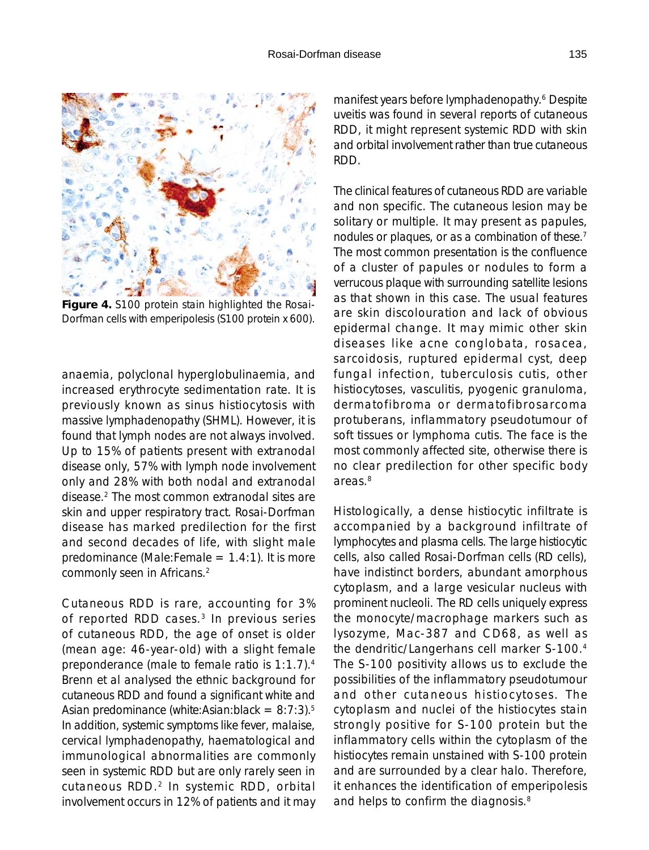

**Figure 4.** S100 protein stain highlighted the Rosai-Dorfman cells with emperipolesis (S100 protein x 600).

anaemia, polyclonal hyperglobulinaemia, and increased erythrocyte sedimentation rate. It is previously known as sinus histiocytosis with massive lymphadenopathy (SHML). However, it is found that lymph nodes are not always involved. Up to 15% of patients present with extranodal disease only, 57% with lymph node involvement only and 28% with both nodal and extranodal disease.2 The most common extranodal sites are skin and upper respiratory tract. Rosai-Dorfman disease has marked predilection for the first and second decades of life, with slight male predominance (Male: Female  $= 1.4:1$ ). It is more commonly seen in Africans.<sup>2</sup>

Cutaneous RDD is rare, accounting for 3% of reported RDD cases.3 In previous series of cutaneous RDD, the age of onset is older (mean age: 46-year-old) with a slight female preponderance (male to female ratio is 1:1.7).4 Brenn et al analysed the ethnic background for cutaneous RDD and found a significant white and Asian predominance (white:Asian:black =  $8:7:3$ ).<sup>5</sup> In addition, systemic symptoms like fever, malaise, cervical lymphadenopathy, haematological and immunological abnormalities are commonly seen in systemic RDD but are only rarely seen in cutaneous RDD.2 In systemic RDD, orbital involvement occurs in 12% of patients and it may manifest years before lymphadenopathy.<sup>6</sup> Despite uveitis was found in several reports of cutaneous RDD, it might represent systemic RDD with skin and orbital involvement rather than true cutaneous RDD.

The clinical features of cutaneous RDD are variable and non specific. The cutaneous lesion may be solitary or multiple. It may present as papules, nodules or plaques, or as a combination of these.<sup>7</sup> The most common presentation is the confluence of a cluster of papules or nodules to form a verrucous plaque with surrounding satellite lesions as that shown in this case. The usual features are skin discolouration and lack of obvious epidermal change. It may mimic other skin diseases like acne conglobata, rosacea, sarcoidosis, ruptured epidermal cyst, deep fungal infection, tuberculosis cutis, other histiocytoses, vasculitis, pyogenic granuloma, dermatofibroma or dermatofibrosarcoma protuberans, inflammatory pseudotumour of soft tissues or lymphoma cutis. The face is the most commonly affected site, otherwise there is no clear predilection for other specific body areas.8

Histologically, a dense histiocytic infiltrate is accompanied by a background infiltrate of lymphocytes and plasma cells. The large histiocytic cells, also called Rosai-Dorfman cells (RD cells), have indistinct borders, abundant amorphous cytoplasm, and a large vesicular nucleus with prominent nucleoli. The RD cells uniquely express the monocyte/macrophage markers such as lysozyme, Mac-387 and CD68, as well as the dendritic/Langerhans cell marker S-100.4 The S-100 positivity allows us to exclude the possibilities of the inflammatory pseudotumour and other cutaneous histiocytoses. The cytoplasm and nuclei of the histiocytes stain strongly positive for S-100 protein but the inflammatory cells within the cytoplasm of the histiocytes remain unstained with S-100 protein and are surrounded by a clear halo. Therefore, it enhances the identification of emperipolesis and helps to confirm the diagnosis.<sup>8</sup>